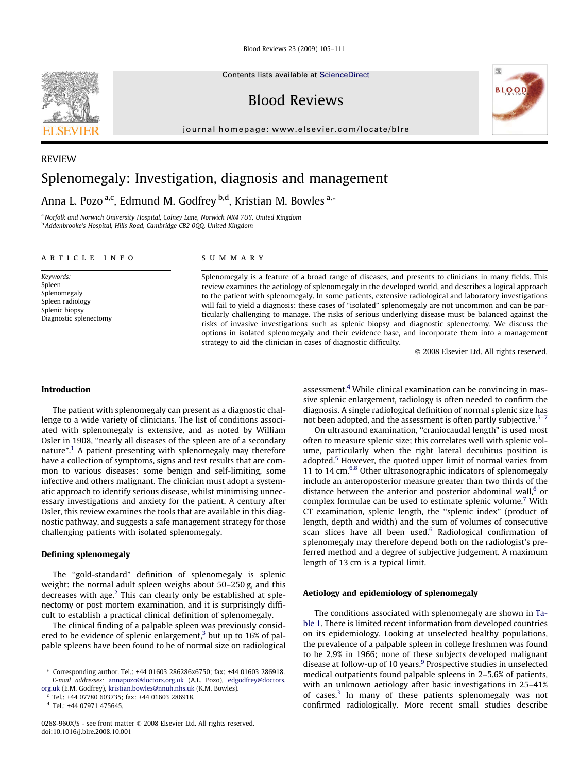Blood Reviews 23 (2009) 105–111

Contents lists available at [ScienceDirect](http://www.sciencedirect.com/science/journal/0268960X)

Blood Reviews

journal homepage: [www.elsevier.com/locate/blre](http://www.elsevier.com/locate/blre)



# REVIEW Splenomegaly: Investigation, diagnosis and management

Anna L. Pozo<sup>a,c</sup>, Edmund M. Godfrey<sup>b,d</sup>, Kristian M. Bowles<sup>a,\*</sup>

<sup>a</sup> Norfolk and Norwich University Hospital, Colney Lane, Norwich NR4 7UY, United Kingdom <sup>b</sup> Addenbrooke's Hospital, Hills Road, Cambridge CB2 0QQ, United Kingdom

#### article info

Keywords: Spleen Splenomegaly Spleen radiology Splenic biopsy Diagnostic splenectomy

# SUMMARY

Splenomegaly is a feature of a broad range of diseases, and presents to clinicians in many fields. This review examines the aetiology of splenomegaly in the developed world, and describes a logical approach to the patient with splenomegaly. In some patients, extensive radiological and laboratory investigations will fail to yield a diagnosis: these cases of ''isolated" splenomegaly are not uncommon and can be particularly challenging to manage. The risks of serious underlying disease must be balanced against the risks of invasive investigations such as splenic biopsy and diagnostic splenectomy. We discuss the options in isolated splenomegaly and their evidence base, and incorporate them into a management strategy to aid the clinician in cases of diagnostic difficulty.

- 2008 Elsevier Ltd. All rights reserved.

# Introduction

The patient with splenomegaly can present as a diagnostic challenge to a wide variety of clinicians. The list of conditions associated with splenomegaly is extensive, and as noted by William Osler in 1908, ''nearly all diseases of the spleen are of a secondary nature".<sup>[1](#page-5-0)</sup> A patient presenting with splenomegaly may therefore have a collection of symptoms, signs and test results that are common to various diseases: some benign and self-limiting, some infective and others malignant. The clinician must adopt a systematic approach to identify serious disease, whilst minimising unnecessary investigations and anxiety for the patient. A century after Osler, this review examines the tools that are available in this diagnostic pathway, and suggests a safe management strategy for those challenging patients with isolated splenomegaly.

## Defining splenomegaly

The ''gold-standard" definition of splenomegaly is splenic weight: the normal adult spleen weighs about 50–250 g, and this decreases with age.<sup>2</sup> This can clearly only be established at splenectomy or post mortem examination, and it is surprisingly difficult to establish a practical clinical definition of splenomegaly.

The clinical finding of a palpable spleen was previously considered to be evidence of splenic enlargement, $3$  but up to 16% of palpable spleens have been found to be of normal size on radiological assessment.<sup>[4](#page-5-0)</sup> While clinical examination can be convincing in massive splenic enlargement, radiology is often needed to confirm the diagnosis. A single radiological definition of normal splenic size has not been adopted, and the assessment is often partly subjective.<sup>[5–7](#page-5-0)</sup>

On ultrasound examination, ''craniocaudal length" is used most often to measure splenic size; this correlates well with splenic volume, particularly when the right lateral decubitus position is adopted.<sup>5</sup> However, the quoted upper limit of normal varies from 11 to 14 cm.<sup>[6,8](#page-5-0)</sup> Other ultrasonographic indicators of splenomegaly include an anteroposterior measure greater than two thirds of the distance between the anterior and posterior abdominal wall, $6$  or complex formulae can be used to estimate splenic volume[.7](#page-5-0) With CT examination, splenic length, the ''splenic index" (product of length, depth and width) and the sum of volumes of consecutive scan slices have all been used.<sup>[6](#page-5-0)</sup> Radiological confirmation of splenomegaly may therefore depend both on the radiologist's preferred method and a degree of subjective judgement. A maximum length of 13 cm is a typical limit.

#### Aetiology and epidemiology of splenomegaly

The conditions associated with splenomegaly are shown in [Ta](#page-1-0)[ble 1.](#page-1-0) There is limited recent information from developed countries on its epidemiology. Looking at unselected healthy populations, the prevalence of a palpable spleen in college freshmen was found to be 2.9% in 1966; none of these subjects developed malignant disease at follow-up of 10 years.<sup>9</sup> Prospective studies in unselected medical outpatients found palpable spleens in 2–5.6% of patients, with an unknown aetiology after basic investigations in 25–41% of cases.<sup>3</sup> In many of these patients splenomegaly was not confirmed radiologically. More recent small studies describe

<sup>\*</sup> Corresponding author. Tel.: +44 01603 286286x6750; fax: +44 01603 286918. E-mail addresses: [annapozo@doctors.org.uk](mailto:annapozo@doctors.org.uk) (A.L. Pozo), [edgodfrey@doctors.](mailto:edgodfrey@doctors.  org.uk) [org.uk](mailto:edgodfrey@doctors.  org.uk) (E.M. Godfrey), [kristian.bowles@nnuh.nhs.uk](mailto:kristian.bowles@nnuh.nhs.uk) (K.M. Bowles).

<sup>c</sup> Tel.: +44 07780 603735; fax: +44 01603 286918.

<sup>d</sup> Tel.: +44 07971 475645.

<sup>0268-960</sup>X/\$ - see front matter © 2008 Elsevier Ltd. All rights reserved. doi:10.1016/j.blre.2008.10.001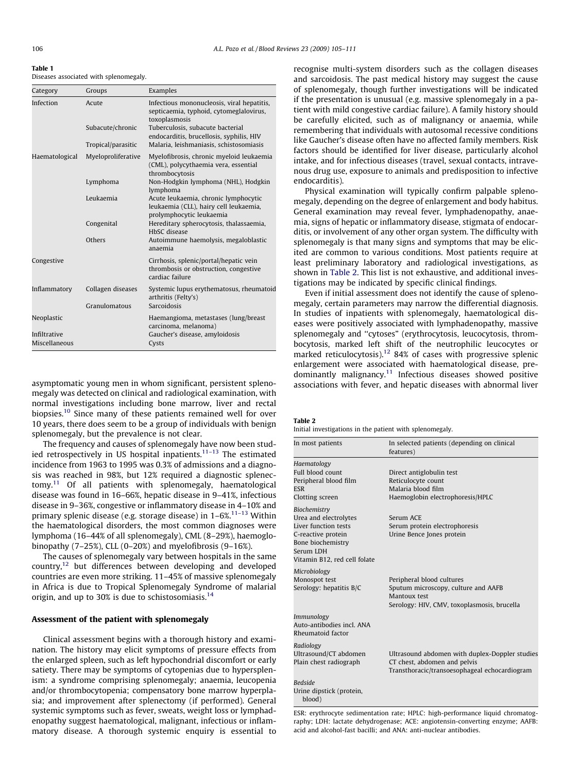<span id="page-1-0"></span>Diseases associated with splenomegaly.

| Category                      | Groups                    | Examples                                                                                                                                   |
|-------------------------------|---------------------------|--------------------------------------------------------------------------------------------------------------------------------------------|
| Infection                     | Acute<br>Subacute/chronic | Infectious mononucleosis, viral hepatitis,<br>septicaemia, typhoid, cytomeglalovirus,<br>toxoplasmosis<br>Tuberculosis, subacute bacterial |
|                               | Tropical/parasitic        | endocarditis, brucellosis, syphilis, HIV<br>Malaria, leishmaniasis, schistosomiasis                                                        |
| Haematological                | Myeloproliferative        | Myelofibrosis, chronic myeloid leukaemia<br>(CML), polycythaemia vera, essential<br>thrombocytosis                                         |
|                               | Lymphoma                  | Non-Hodgkin lymphoma (NHL), Hodgkin<br>lymphoma                                                                                            |
|                               | Leukaemia                 | Acute leukaemia, chronic lymphocytic<br>leukaemia (CLL), hairy cell leukaemia,<br>prolymphocytic leukaemia                                 |
|                               | Congenital                | Hereditary spherocytosis, thalassaemia,<br>HbSC disease                                                                                    |
|                               | Others                    | Autoimmune haemolysis, megaloblastic<br>anaemia                                                                                            |
| Congestive                    |                           | Cirrhosis, splenic/portal/hepatic vein<br>thrombosis or obstruction, congestive<br>cardiac failure                                         |
| Inflammatory                  | Collagen diseases         | Systemic lupus erythematosus, rheumatoid<br>arthritis (Felty's)                                                                            |
|                               | Granulomatous             | Sarcoidosis                                                                                                                                |
| Neoplastic                    |                           | Haemangioma, metastases (lung/breast<br>carcinoma, melanoma)                                                                               |
| Infiltrative<br>Miscellaneous |                           | Gaucher's disease, amyloidosis<br>Cysts                                                                                                    |

asymptomatic young men in whom significant, persistent splenomegaly was detected on clinical and radiological examination, with normal investigations including bone marrow, liver and rectal biopsies.<sup>10</sup> Since many of these patients remained well for over 10 years, there does seem to be a group of individuals with benign splenomegaly, but the prevalence is not clear.

The frequency and causes of splenomegaly have now been studied retrospectively in US hospital inpatients. $11-13$  The estimated incidence from 1963 to 1995 was 0.3% of admissions and a diagnosis was reached in 98%, but 12% required a diagnostic splenectomy[.11](#page-5-0) Of all patients with splenomegaly, haematological disease was found in 16–66%, hepatic disease in 9–41%, infectious disease in 9–36%, congestive or inflammatory disease in 4–10% and primary splenic disease (e.g. storage disease) in  $1-6\frac{\text{m}}{6}$ , 11–13 Within the haematological disorders, the most common diagnoses were lymphoma (16–44% of all splenomegaly), CML (8–29%), haemoglobinopathy (7–25%), CLL (0–20%) and myelofibrosis (9–16%).

The causes of splenomegaly vary between hospitals in the same country,[12](#page-5-0) but differences between developing and developed countries are even more striking. 11–45% of massive splenomegaly in Africa is due to Tropical Splenomegaly Syndrome of malarial origin, and up to 30% is due to schistosomiasis.[14](#page-5-0)

# Assessment of the patient with splenomegaly

Clinical assessment begins with a thorough history and examination. The history may elicit symptoms of pressure effects from the enlarged spleen, such as left hypochondrial discomfort or early satiety. There may be symptoms of cytopenias due to hypersplenism: a syndrome comprising splenomegaly; anaemia, leucopenia and/or thrombocytopenia; compensatory bone marrow hyperplasia; and improvement after splenectomy (if performed). General systemic symptoms such as fever, sweats, weight loss or lymphadenopathy suggest haematological, malignant, infectious or inflammatory disease. A thorough systemic enquiry is essential to recognise multi-system disorders such as the collagen diseases and sarcoidosis. The past medical history may suggest the cause of splenomegaly, though further investigations will be indicated if the presentation is unusual (e.g. massive splenomegaly in a patient with mild congestive cardiac failure). A family history should be carefully elicited, such as of malignancy or anaemia, while remembering that individuals with autosomal recessive conditions like Gaucher's disease often have no affected family members. Risk factors should be identified for liver disease, particularly alcohol intake, and for infectious diseases (travel, sexual contacts, intravenous drug use, exposure to animals and predisposition to infective endocarditis).

Physical examination will typically confirm palpable splenomegaly, depending on the degree of enlargement and body habitus. General examination may reveal fever, lymphadenopathy, anaemia, signs of hepatic or inflammatory disease, stigmata of endocarditis, or involvement of any other organ system. The difficulty with splenomegaly is that many signs and symptoms that may be elicited are common to various conditions. Most patients require at least preliminary laboratory and radiological investigations, as shown in Table 2. This list is not exhaustive, and additional investigations may be indicated by specific clinical findings.

Even if initial assessment does not identify the cause of splenomegaly, certain parameters may narrow the differential diagnosis. In studies of inpatients with splenomegaly, haematological diseases were positively associated with lymphadenopathy, massive splenomegaly and ''cytoses" (erythrocytosis, leucocytosis, thrombocytosis, marked left shift of the neutrophilic leucocytes or marked reticulocytosis).[12](#page-5-0) 84% of cases with progressive splenic enlargement were associated with haematological disease, predominantly malignancy.[11](#page-5-0) Infectious diseases showed positive associations with fever, and hepatic diseases with abnormal liver

#### Table 2

Initial investigations in the patient with splenomegaly.

| In most patients                                                                                                                                      | In selected patients (depending on clinical<br>features)                                                                        |
|-------------------------------------------------------------------------------------------------------------------------------------------------------|---------------------------------------------------------------------------------------------------------------------------------|
| Haematology<br>Full blood count<br>Peripheral blood film<br><b>ESR</b><br>Clotting screen                                                             | Direct antiglobulin test<br>Reticulocyte count<br>Malaria blood film<br>Haemoglobin electrophoresis/HPLC                        |
| Biochemistry<br>Urea and electrolytes<br>Liver function tests<br>C-reactive protein<br>Bone biochemistry<br>Serum LDH<br>Vitamin B12, red cell folate | Serum ACE<br>Serum protein electrophoresis<br>Urine Bence Jones protein                                                         |
| Microbiology<br>Monospot test<br>Serology: hepatitis B/C                                                                                              | Peripheral blood cultures<br>Sputum microscopy, culture and AAFB<br>Mantoux test<br>Serology: HIV, CMV, toxoplasmosis, brucella |
| Immunology<br>Auto-antibodies incl. ANA<br>Rheumatoid factor                                                                                          |                                                                                                                                 |
| Radiology<br>Ultrasound/CT abdomen<br>Plain chest radiograph                                                                                          | Ultrasound abdomen with duplex-Doppler studies<br>CT chest, abdomen and pelvis<br>Transthoracic/transoesophageal echocardiogram |
| <b>Bedside</b><br>Urine dipstick (protein,<br>blood)                                                                                                  |                                                                                                                                 |

ESR: erythrocyte sedimentation rate; HPLC: high-performance liquid chromatography; LDH: lactate dehydrogenase; ACE: angiotensin-converting enzyme; AAFB: acid and alcohol-fast bacilli; and ANA: anti-nuclear antibodies.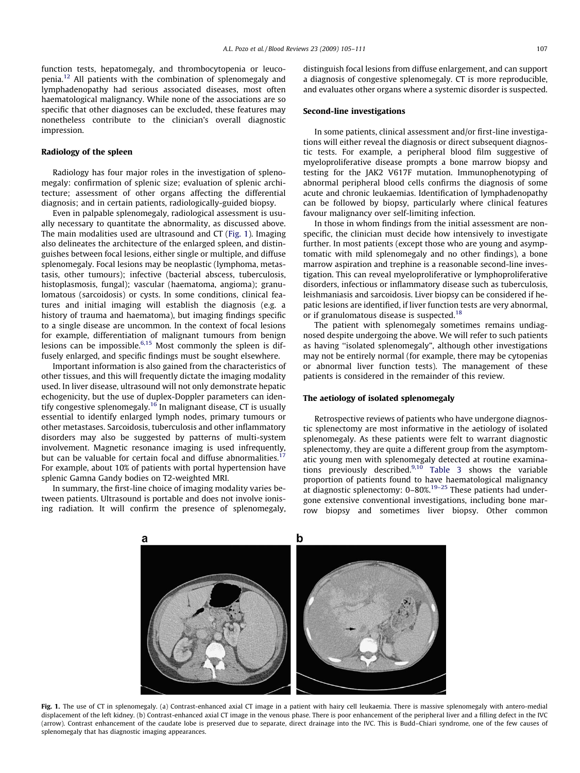function tests, hepatomegaly, and thrombocytopenia or leucopenia[.12](#page-5-0) All patients with the combination of splenomegaly and lymphadenopathy had serious associated diseases, most often haematological malignancy. While none of the associations are so specific that other diagnoses can be excluded, these features may nonetheless contribute to the clinician's overall diagnostic impression.

# Radiology of the spleen

Radiology has four major roles in the investigation of splenomegaly: confirmation of splenic size; evaluation of splenic architecture; assessment of other organs affecting the differential diagnosis; and in certain patients, radiologically-guided biopsy.

Even in palpable splenomegaly, radiological assessment is usually necessary to quantitate the abnormality, as discussed above. The main modalities used are ultrasound and CT (Fig. 1). Imaging also delineates the architecture of the enlarged spleen, and distinguishes between focal lesions, either single or multiple, and diffuse splenomegaly. Focal lesions may be neoplastic (lymphoma, metastasis, other tumours); infective (bacterial abscess, tuberculosis, histoplasmosis, fungal); vascular (haematoma, angioma); granulomatous (sarcoidosis) or cysts. In some conditions, clinical features and initial imaging will establish the diagnosis (e.g. a history of trauma and haematoma), but imaging findings specific to a single disease are uncommon. In the context of focal lesions for example, differentiation of malignant tumours from benign lesions can be impossible. $6,15$  Most commonly the spleen is diffusely enlarged, and specific findings must be sought elsewhere.

Important information is also gained from the characteristics of other tissues, and this will frequently dictate the imaging modality used. In liver disease, ultrasound will not only demonstrate hepatic echogenicity, but the use of duplex-Doppler parameters can iden-tify congestive splenomegaly.<sup>[16](#page-5-0)</sup> In malignant disease, CT is usually essential to identify enlarged lymph nodes, primary tumours or other metastases. Sarcoidosis, tuberculosis and other inflammatory disorders may also be suggested by patterns of multi-system involvement. Magnetic resonance imaging is used infrequently, but can be valuable for certain focal and diffuse abnormalities.<sup>[17](#page-5-0)</sup> For example, about 10% of patients with portal hypertension have splenic Gamna Gandy bodies on T2-weighted MRI.

In summary, the first-line choice of imaging modality varies between patients. Ultrasound is portable and does not involve ionising radiation. It will confirm the presence of splenomegaly, distinguish focal lesions from diffuse enlargement, and can support a diagnosis of congestive splenomegaly. CT is more reproducible, and evaluates other organs where a systemic disorder is suspected.

### Second-line investigations

In some patients, clinical assessment and/or first-line investigations will either reveal the diagnosis or direct subsequent diagnostic tests. For example, a peripheral blood film suggestive of myeloproliferative disease prompts a bone marrow biopsy and testing for the JAK2 V617F mutation. Immunophenotyping of abnormal peripheral blood cells confirms the diagnosis of some acute and chronic leukaemias. Identification of lymphadenopathy can be followed by biopsy, particularly where clinical features favour malignancy over self-limiting infection.

In those in whom findings from the initial assessment are nonspecific, the clinician must decide how intensively to investigate further. In most patients (except those who are young and asymptomatic with mild splenomegaly and no other findings), a bone marrow aspiration and trephine is a reasonable second-line investigation. This can reveal myeloproliferative or lymphoproliferative disorders, infectious or inflammatory disease such as tuberculosis, leishmaniasis and sarcoidosis. Liver biopsy can be considered if hepatic lesions are identified, if liver function tests are very abnormal, or if granulomatous disease is suspected.<sup>[18](#page-5-0)</sup>

The patient with splenomegaly sometimes remains undiagnosed despite undergoing the above. We will refer to such patients as having ''isolated splenomegaly", although other investigations may not be entirely normal (for example, there may be cytopenias or abnormal liver function tests). The management of these patients is considered in the remainder of this review.

#### The aetiology of isolated splenomegaly

Retrospective reviews of patients who have undergone diagnostic splenectomy are most informative in the aetiology of isolated splenomegaly. As these patients were felt to warrant diagnostic splenectomy, they are quite a different group from the asymptomatic young men with splenomegaly detected at routine examina-tions previously described.<sup>[9,10](#page-5-0)</sup> [Table 3](#page-3-0) shows the variable proportion of patients found to have haematological malignancy at diagnostic splenectomy:  $0-80\%$ <sup>19-25</sup> These patients had undergone extensive conventional investigations, including bone marrow biopsy and sometimes liver biopsy. Other common



Fig. 1. The use of CT in splenomegaly. (a) Contrast-enhanced axial CT image in a patient with hairy cell leukaemia. There is massive splenomegaly with antero-medial displacement of the left kidney. (b) Contrast-enhanced axial CT image in the venous phase. There is poor enhancement of the peripheral liver and a filling defect in the IVC (arrow). Contrast enhancement of the caudate lobe is preserved due to separate, direct drainage into the IVC. This is Budd–Chiari syndrome, one of the few causes of splenomegaly that has diagnostic imaging appearances.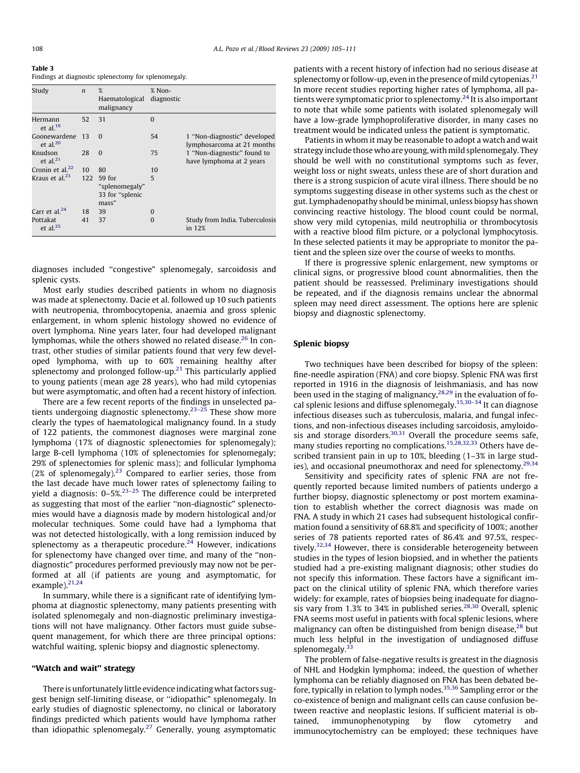<span id="page-3-0"></span>

|--|

|  |  | Findings at diagnostic splenectomy for splenomegaly. |  |  |
|--|--|------------------------------------------------------|--|--|
|--|--|------------------------------------------------------|--|--|

| Study                            | $\boldsymbol{n}$ | %<br>Haematological<br>malignancy                        | $%$ Non-<br>diagnostic |                                                            |
|----------------------------------|------------------|----------------------------------------------------------|------------------------|------------------------------------------------------------|
| Hermann<br>et al. $19$           | 52 31            |                                                          | $\Omega$               |                                                            |
| Goonewardene 13<br>et al $^{20}$ |                  | - 0                                                      | 54                     | 1 "Non-diagnostic" developed<br>lymphosarcoma at 21 months |
| Knudson<br>et al $^{21}$         | 28               | $\Omega$                                                 | 75                     | 1 "Non-diagnostic" found to<br>have lymphoma at 2 years    |
| Cronin et al. $^{22}$            | 10               | 80                                                       | 10                     |                                                            |
| Kraus et al. $^{23}$             |                  | 122 59 for<br>"splenomegaly"<br>33 for "splenic<br>mass" | 5                      |                                                            |
| Carr et al. $^{24}$              | 18               | 39                                                       | $\Omega$               |                                                            |
| Pottakat<br>et al. $25$          | 41               | 37                                                       | $\Omega$               | Study from India. Tuberculosis<br>in 12%                   |

diagnoses included ''congestive" splenomegaly, sarcoidosis and splenic cysts.

Most early studies described patients in whom no diagnosis was made at splenectomy. Dacie et al. followed up 10 such patients with neutropenia, thrombocytopenia, anaemia and gross splenic enlargement, in whom splenic histology showed no evidence of overt lymphoma. Nine years later, four had developed malignant lymphomas, while the others showed no related disease.<sup>[26](#page-5-0)</sup> In contrast, other studies of similar patients found that very few developed lymphoma, with up to 60% remaining healthy after splenectomy and prolonged follow-up. $21$  This particularly applied to young patients (mean age 28 years), who had mild cytopenias but were asymptomatic, and often had a recent history of infection.

There are a few recent reports of the findings in unselected patients undergoing diagnostic splenectomy.<sup>23–25</sup> These show more clearly the types of haematological malignancy found. In a study of 122 patients, the commonest diagnoses were marginal zone lymphoma (17% of diagnostic splenectomies for splenomegaly); large B-cell lymphoma (10% of splenectomies for splenomegaly; 29% of splenectomies for splenic mass); and follicular lymphoma (2% of splenomegaly).<sup>[23](#page-5-0)</sup> Compared to earlier series, those from the last decade have much lower rates of splenectomy failing to yield a diagnosis:  $0-5\frac{23-25}{2}$  The difference could be interpreted as suggesting that most of the earlier ''non-diagnostic" splenectomies would have a diagnosis made by modern histological and/or molecular techniques. Some could have had a lymphoma that was not detected histologically, with a long remission induced by splenectomy as a therapeutic procedure.<sup>[24](#page-5-0)</sup> However, indications for splenectomy have changed over time, and many of the ''nondiagnostic" procedures performed previously may now not be performed at all (if patients are young and asymptomatic, for example).<sup>[21,24](#page-5-0)</sup>

In summary, while there is a significant rate of identifying lymphoma at diagnostic splenectomy, many patients presenting with isolated splenomegaly and non-diagnostic preliminary investigations will not have malignancy. Other factors must guide subsequent management, for which there are three principal options: watchful waiting, splenic biopsy and diagnostic splenectomy.

## ''Watch and wait'' strategy

There is unfortunately little evidence indicating what factors suggest benign self-limiting disease, or ''idiopathic" splenomegaly. In early studies of diagnostic splenectomy, no clinical or laboratory findings predicted which patients would have lymphoma rather than idiopathic splenomegaly. $27$  Generally, young asymptomatic patients with a recent history of infection had no serious disease at splenectomy or follow-up, even in the presence of mild cytopenias. $^{21}$  $^{21}$  $^{21}$ In more recent studies reporting higher rates of lymphoma, all patients were symptomatic prior to splenectomy.<sup>24</sup> It is also important to note that while some patients with isolated splenomegaly will have a low-grade lymphoproliferative disorder, in many cases no treatment would be indicated unless the patient is symptomatic.

Patients in whom it may be reasonable to adopt a watch and wait strategy include those who are young, with mild splenomegaly. They should be well with no constitutional symptoms such as fever, weight loss or night sweats, unless these are of short duration and there is a strong suspicion of acute viral illness. There should be no symptoms suggesting disease in other systems such as the chest or gut. Lymphadenopathy should be minimal, unless biopsy has shown convincing reactive histology. The blood count could be normal, show very mild cytopenias, mild neutrophilia or thrombocytosis with a reactive blood film picture, or a polyclonal lymphocytosis. In these selected patients it may be appropriate to monitor the patient and the spleen size over the course of weeks to months.

If there is progressive splenic enlargement, new symptoms or clinical signs, or progressive blood count abnormalities, then the patient should be reassessed. Preliminary investigations should be repeated, and if the diagnosis remains unclear the abnormal spleen may need direct assessment. The options here are splenic biopsy and diagnostic splenectomy.

# Splenic biopsy

Two techniques have been described for biopsy of the spleen: fine-needle aspiration (FNA) and core biopsy. Splenic FNA was first reported in 1916 in the diagnosis of leishmaniasis, and has now been used in the staging of malignancy,<sup>[28,29](#page-5-0)</sup> in the evaluation of focal splenic lesions and diffuse splenomegaly.<sup>15,30-34</sup> It can diagnose infectious diseases such as tuberculosis, malaria, and fungal infections, and non-infectious diseases including sarcoidosis, amyloidosis and storage disorders. $30,31$  Overall the procedure seems safe, many studies reporting no complications.<sup>[15,28,32,33](#page-5-0)</sup> Others have described transient pain in up to 10%, bleeding (1–3% in large studies), and occasional pneumothorax and need for splenectomy.<sup>29,34</sup>

Sensitivity and specificity rates of splenic FNA are not frequently reported because limited numbers of patients undergo a further biopsy, diagnostic splenectomy or post mortem examination to establish whether the correct diagnosis was made on FNA. A study in which 21 cases had subsequent histological confirmation found a sensitivity of 68.8% and specificity of 100%; another series of 78 patients reported rates of 86.4% and 97.5%, respec-tively.<sup>[32,34](#page-5-0)</sup> However, there is considerable heterogeneity between studies in the types of lesion biopsied, and in whether the patients studied had a pre-existing malignant diagnosis; other studies do not specify this information. These factors have a significant impact on the clinical utility of splenic FNA, which therefore varies widely: for example, rates of biopsies being inadequate for diagno-sis vary from 1.3% to 34% in published series.<sup>[28,30](#page-5-0)</sup> Overall, splenic FNA seems most useful in patients with focal splenic lesions, where malignancy can often be distinguished from benign disease,<sup>28</sup> but much less helpful in the investigation of undiagnosed diffuse splenomegaly.<sup>[33](#page-5-0)</sup>

The problem of false-negative results is greatest in the diagnosis of NHL and Hodgkin lymphoma; indeed, the question of whether lymphoma can be reliably diagnosed on FNA has been debated be-fore, typically in relation to lymph nodes.<sup>[35,36](#page-5-0)</sup> Sampling error or the co-existence of benign and malignant cells can cause confusion between reactive and neoplastic lesions. If sufficient material is obtained, immunophenotyping by flow cytometry and immunocytochemistry can be employed; these techniques have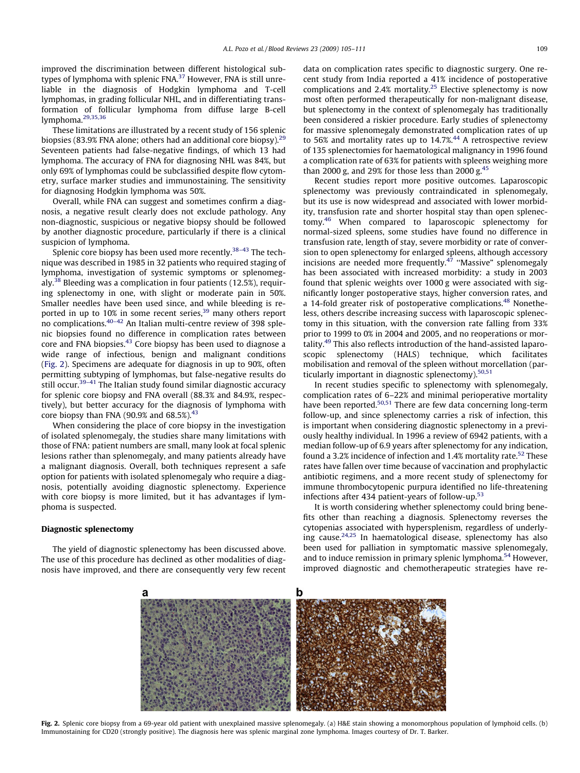improved the discrimination between different histological subtypes of lymphoma with splenic FNA[.37](#page-5-0) However, FNA is still unreliable in the diagnosis of Hodgkin lymphoma and T-cell lymphomas, in grading follicular NHL, and in differentiating transformation of follicular lymphoma from diffuse large B-cell lymphoma[.29,35,36](#page-5-0)

These limitations are illustrated by a recent study of 156 splenic biopsies (83.9% FNA alone; others had an additional core biopsy).<sup>[29](#page-5-0)</sup> Seventeen patients had false-negative findings, of which 13 had lymphoma. The accuracy of FNA for diagnosing NHL was 84%, but only 69% of lymphomas could be subclassified despite flow cytometry, surface marker studies and immunostaining. The sensitivity for diagnosing Hodgkin lymphoma was 50%.

Overall, while FNA can suggest and sometimes confirm a diagnosis, a negative result clearly does not exclude pathology. Any non-diagnostic, suspicious or negative biopsy should be followed by another diagnostic procedure, particularly if there is a clinical suspicion of lymphoma.

Splenic core biopsy has been used more recently.<sup>38-43</sup> The technique was described in 1985 in 32 patients who required staging of lymphoma, investigation of systemic symptoms or splenomeg-aly.<sup>[38](#page-5-0)</sup> Bleeding was a complication in four patients (12.5%), requiring splenectomy in one, with slight or moderate pain in 50%. Smaller needles have been used since, and while bleeding is reported in up to 10% in some recent series,<sup>39</sup> many others report no complications.[40–42](#page-5-0) An Italian multi-centre review of 398 splenic biopsies found no difference in complication rates between core and FNA biopsies.<sup>43</sup> Core biopsy has been used to diagnose a wide range of infectious, benign and malignant conditions (Fig. 2). Specimens are adequate for diagnosis in up to 90%, often permitting subtyping of lymphomas, but false-negative results do still occur.<sup>39-41</sup> The Italian study found similar diagnostic accuracy for splenic core biopsy and FNA overall (88.3% and 84.9%, respectively), but better accuracy for the diagnosis of lymphoma with core biopsy than FNA (90.9% and  $68.5\%$ ).<sup>[43](#page-5-0)</sup>

When considering the place of core biopsy in the investigation of isolated splenomegaly, the studies share many limitations with those of FNA: patient numbers are small, many look at focal splenic lesions rather than splenomegaly, and many patients already have a malignant diagnosis. Overall, both techniques represent a safe option for patients with isolated splenomegaly who require a diagnosis, potentially avoiding diagnostic splenectomy. Experience with core biopsy is more limited, but it has advantages if lymphoma is suspected.

## Diagnostic splenectomy

The yield of diagnostic splenectomy has been discussed above. The use of this procedure has declined as other modalities of diagnosis have improved, and there are consequently very few recent data on complication rates specific to diagnostic surgery. One recent study from India reported a 41% incidence of postoperative complications and 2.4% mortality.[25](#page-5-0) Elective splenectomy is now most often performed therapeutically for non-malignant disease, but splenectomy in the context of splenomegaly has traditionally been considered a riskier procedure. Early studies of splenectomy for massive splenomegaly demonstrated complication rates of up to 56% and mortality rates up to  $14.7\%$ .<sup>[44](#page-5-0)</sup> A retrospective review of 135 splenectomies for haematological malignancy in 1996 found a complication rate of 63% for patients with spleens weighing more than 2000 g, and 29% for those less than 2000 g. $45$ 

Recent studies report more positive outcomes. Laparoscopic splenectomy was previously contraindicated in splenomegaly, but its use is now widespread and associated with lower morbidity, transfusion rate and shorter hospital stay than open splenectomy[.46](#page-6-0) When compared to laparoscopic splenectomy for normal-sized spleens, some studies have found no difference in transfusion rate, length of stay, severe morbidity or rate of conversion to open splenectomy for enlarged spleens, although accessory incisions are needed more frequently. $4^{\frac{1}{7}}$  "Massive" splenomegaly has been associated with increased morbidity: a study in 2003 found that splenic weights over 1000 g were associated with significantly longer postoperative stays, higher conversion rates, and a 14-fold greater risk of postoperative complications.<sup>48</sup> Nonetheless, others describe increasing success with laparoscopic splenectomy in this situation, with the conversion rate falling from 33% prior to 1999 to 0% in 2004 and 2005, and no reoperations or mortality[.49](#page-6-0) This also reflects introduction of the hand-assisted laparoscopic splenectomy (HALS) technique, which facilitates mobilisation and removal of the spleen without morcellation (par-ticularly important in diagnostic splenectomy).<sup>[50,51](#page-6-0)</sup>

In recent studies specific to splenectomy with splenomegaly, complication rates of 6–22% and minimal perioperative mortality have been reported.<sup>[50,51](#page-6-0)</sup> There are few data concerning long-term follow-up, and since splenectomy carries a risk of infection, this is important when considering diagnostic splenectomy in a previously healthy individual. In 1996 a review of 6942 patients, with a median follow-up of 6.9 years after splenectomy for any indication, found a 3.2% incidence of infection and 1.4% mortality rate.<sup>[52](#page-6-0)</sup> These rates have fallen over time because of vaccination and prophylactic antibiotic regimens, and a more recent study of splenectomy for immune thrombocytopenic purpura identified no life-threatening infections after 434 patient-years of follow-up. $53$ 

It is worth considering whether splenectomy could bring benefits other than reaching a diagnosis. Splenectomy reverses the cytopenias associated with hypersplenism, regardless of underlying cause. $24,25$  In haematological disease, splenectomy has also been used for palliation in symptomatic massive splenomegaly, and to induce remission in primary splenic lymphoma.<sup>[54](#page-6-0)</sup> However, improved diagnostic and chemotherapeutic strategies have re-



Fig. 2. Splenic core biopsy from a 69-year old patient with unexplained massive splenomegaly. (a) H&E stain showing a monomorphous population of lymphoid cells. (b) Immunostaining for CD20 (strongly positive). The diagnosis here was splenic marginal zone lymphoma. Images courtesy of Dr. T. Barker.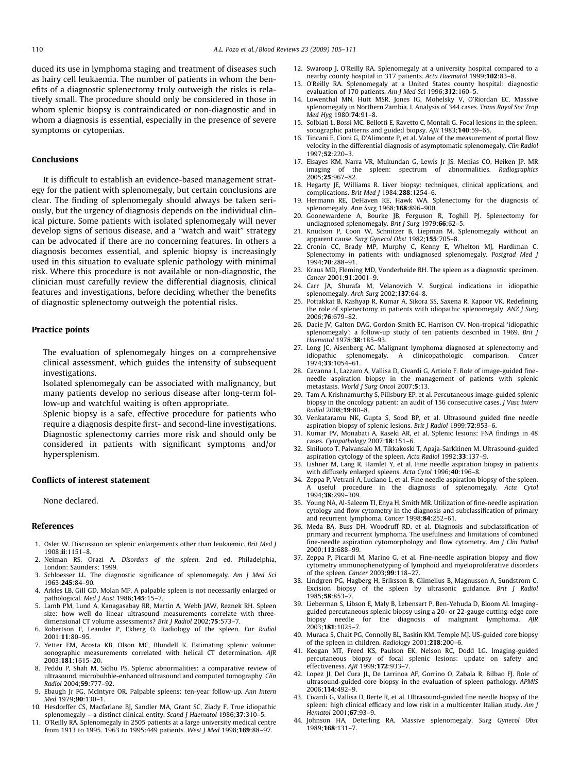<span id="page-5-0"></span>duced its use in lymphoma staging and treatment of diseases such as hairy cell leukaemia. The number of patients in whom the benefits of a diagnostic splenectomy truly outweigh the risks is relatively small. The procedure should only be considered in those in whom splenic biopsy is contraindicated or non-diagnostic and in whom a diagnosis is essential, especially in the presence of severe symptoms or cytopenias.

# Conclusions

It is difficult to establish an evidence-based management strategy for the patient with splenomegaly, but certain conclusions are clear. The finding of splenomegaly should always be taken seriously, but the urgency of diagnosis depends on the individual clinical picture. Some patients with isolated splenomegaly will never develop signs of serious disease, and a ''watch and wait" strategy can be advocated if there are no concerning features. In others a diagnosis becomes essential, and splenic biopsy is increasingly used in this situation to evaluate splenic pathology with minimal risk. Where this procedure is not available or non-diagnostic, the clinician must carefully review the differential diagnosis, clinical features and investigations, before deciding whether the benefits of diagnostic splenectomy outweigh the potential risks.

#### Practice points

The evaluation of splenomegaly hinges on a comprehensive clinical assessment, which guides the intensity of subsequent investigations.

Isolated splenomegaly can be associated with malignancy, but many patients develop no serious disease after long-term follow-up and watchful waiting is often appropriate.

Splenic biopsy is a safe, effective procedure for patients who require a diagnosis despite first- and second-line investigations. Diagnostic splenectomy carries more risk and should only be considered in patients with significant symptoms and/or hypersplenism.

#### Conflicts of interest statement

None declared.

#### References

- 1. Osler W. Discussion on splenic enlargements other than leukaemic. Brit Med J 1908;ii:1151–8.
- 2. Neiman RS, Orazi A. Disorders of the spleen. 2nd ed. Philadelphia, London: Saunders; 1999.
- 3. Schloesser LL. The diagnostic significance of splenomegaly. Am J Med Sci 1963;245:84–90.
- 4. Arkles LB, Gill GD, Molan MP. A palpable spleen is not necessarily enlarged or pathological. Med J Aust 1986:145:15-7.
- 5. Lamb PM, Lund A, Kanagasabay RR, Martin A, Webb JAW, Reznek RH. Spleen size: how well do linear ultrasound measurements correlate with threedimensional CT volume assessments? Brit J Radiol 2002;75:573–7.
- 6. Robertson F, Leander P, Ekberg O. Radiology of the spleen. Eur Radiol 2001;11:80–95.
- 7. Yetter EM, Acosta KB, Olson MC, Blundell K. Estimating splenic volume: sonographic measurements correlated with helical CT determination. AJR 2003;181:1615–20.
- 8. Peddu P, Shah M, Sidhu PS. Splenic abnormalities: a comparative review of ultrasound, microbubble-enhanced ultrasound and computed tomography. Clin Radiol 2004;59:777–92.
- 9. Ebaugh Jr FG, McIntyre OR. Palpable spleens: ten-year follow-up. Ann Intern Med 1979;90:130–1.
- 10. Hesdorffer CS, Macfarlane BJ, Sandler MA, Grant SC, Ziady F. True idiopathic splenomegaly - a distinct clinical entity. Scand J Haematol 1986;37:310-5.
- 11. O'Reilly RA. Splenomegaly in 2505 patients at a large university medical centre from 1913 to 1995. 1963 to 1995:449 patients. West J Med 1998;169:88–97.
- 12. Swaroop J, O'Reilly RA. Splenomegaly at a university hospital compared to a nearby county hospital in 317 patients. Acta Haematol 1999;102:83-8.
- 13. O'Reilly RA. Splenomegaly at a United States county hospital: diagnostic evaluation of 170 patients. Am J Med Sci 1996;312:160-5.
- 14. Lowenthal MN, Hutt MSR, Jones IG, Mohelsky V, O'Riordan EC. Massive splenomegaly in Northern Zambia. I. Analysis of 344 cases. Trans Royal Soc Trop Med Hyg 1980;74:91–8.
- 15. Solbiati L, Bossi MC, Bellotti E, Ravetto C, Montali G. Focal lesions in the spleen: sonographic patterns and guided biopsy. AJR 1983;140:59-65.
- 16. Tincani E, Cioni G, D'Alimonte P, et al. Value of the measurement of portal flow velocity in the differential diagnosis of asymptomatic splenomegaly. Clin Radiol 1997;52:220–3.
- 17. Elsayes KM, Narra VR, Mukundan G, Lewis Jr JS, Menias CO, Heiken JP. MR imaging of the spleen: spectrum of abnormalities. Radiographics 2005;25:967–82.
- 18. Hegarty JE, Williams R. Liver biopsy: techniques, clinical applications, and complications. Brit Med J 1984;288:1254-6.
- 19. Hermann RE, DeHaven KE, Hawk WA. Splenectomy for the diagnosis of splenomegaly. Ann Surg 1968;168:896–900.
- 20. Goonewardene A, Bourke JB, Ferguson R, Toghill PJ. Splenectomy for undiagnosed splenomegaly. Brit J Surg 1979;66:62-5.
- 21. Knudson P, Coon W, Schnitzer B, Liepman M. Splenomegaly without an apparent cause. Surg Gynecol Obst 1982;155:705–8.
- 22. Cronin CC, Brady MP, Murphy C, Kenny E, Whelton MJ, Hardiman C. Splenectomy in patients with undiagnosed splenomegaly. Postgrad Med J 1994;70:288–91.
- 23. Kraus MD, Fleming MD, Vonderheide RH. The spleen as a diagnostic specimen. Cancer 2001;91:2001–9.
- 24. Carr JA, Shurafa M, Velanovich V. Surgical indications in idiopathic splenomegaly. Arch Surg 2002;137:64-8.
- 25. Pottakkat B, Kashyap R, Kumar A, Sikora SS, Saxena R, Kapoor VK. Redefining the role of splenectomy in patients with idiopathic splenomegaly. ANZ J Surg 2006;76:679–82.
- 26. Dacie JV, Galton DAG, Gordon-Smith EC, Harrison CV. Non-tropical 'idiopathic splenomegaly': a follow-up study of ten patients described in 1969. Brit J Haematol 1978;38:185-93.
- 27. Long JC, Aisenberg AC. Malignant lymphoma diagnosed at splenectomy and idiopathic splenomegaly. A clinicopathologic comparison. Cancer A clinicopathologic comparison. Cancer 1974;33:1054–61.
- 28. Cavanna L, Lazzaro A, Vallisa D, Civardi G, Artiolo F. Role of image-guided fineneedle aspiration biopsy in the management of patients with splenic metastasis. World J Surg Oncol 2007;5:13.
- 29. Tam A, Krishnamurthy S, Pillsbury EP, et al. Percutaneous image-guided splenic biopsy in the oncology patient: an audit of 156 consecutive cases. *J Vasc Interv* Radiol 2008;19:80–8.
- 30. Venkataramu NK, Gupta S, Sood BP, et al. Ultrasound guided fine needle aspiration biopsy of splenic lesions. Brit J Radiol 1999;72:953–6.
- 31. Kumar PV, Monabati A, Raseki AR, et al. Splenic lesions: FNA findings in 48 cases. Cytopathology 2007;18:151–6.
- 32. Siniluoto T, Paivansalo M, Tikkakoski T, Apaja-Sarkkinen M. Ultrasound-guided aspiration cytology of the spleen. Acta Radiol 1992;33:137–9.
- 33. Lishner M, Lang R, Hamlet Y, et al. Fine needle aspiration biopsy in patients with diffusely enlarged spleens. Acta Cytol 1996;40:196-8.
- 34. Zeppa P, Vetrani A, Luciano L, et al. Fine needle aspiration biopsy of the spleen. A useful procedure in the diagnosis of splenomegaly. Acta Cytol 1994;38:299–309.
- 35. Young NA, Al-Saleem TI, Ehya H, Smith MR. Utilization of fine-needle aspiration cytology and flow cytometry in the diagnosis and subclassification of primary and recurrent lymphoma. Cancer 1998;84:252-61.
- 36. Meda BA, Buss DH, Woodruff RD, et al. Diagnosis and subclassification of primary and recurrent lymphoma. The usefulness and limitations of combined fine-needle aspiration cytomorphology and flow cytometry. Am J Clin Pathol 2000;113:688–99.
- 37. Zeppa P, Picardi M, Marino G, et al. Fine-needle aspiration biopsy and flow cytometry immunophenotyping of lymphoid and myeloproliferative disorders of the spleen. Cancer 2003;99:118–27.
- 38. Lindgren PG, Hagberg H, Eriksson B, Glimelius B, Magnusson A, Sundstrom C. Excision biopsy of the spleen by ultrasonic guidance. Brit J Radiol 1985;58:853–7.
- 39. Lieberman S, Libson E, Maly B, Lebensart P, Ben-Yehuda D, Bloom AI. Imagingguided percutaneous splenic biopsy using a 20- or 22-gauge cutting-edge core biopsy needle for the diagnosis of malignant lymphoma. AJR 2003;181:1025–7.
- 40. Muraca S, Chait PG, Connolly BL, Baskin KM, Temple MJ. US-guided core biopsy of the spleen in children. Radiology 2001;218:200–6.
- 41. Keogan MT, Freed KS, Paulson EK, Nelson RC, Dodd LG. Imaging-guided percutaneous biopsy of focal splenic lesions: update on safety and effectiveness. AJR 1999;172:933–7.
- 42. Lopez JI, Del Cura JL, De Larrinoa AF, Gorrino O, Zabala R, Bilbao FJ. Role of ultrasound-guided core biopsy in the evaluation of spleen pathology. APMIS 2006;114:492–9.
- 43. Civardi G, Vallisa D, Berte R, et al. Ultrasound-guided fine needle biopsy of the spleen: high clinical efficacy and low risk in a multicenter Italian study.  $Am J$ Hematol 2001;67:93–9.
- 44. Johnson HA, Deterling RA. Massive splenomegaly. Surg Gynecol Obst 1989;168:131–7.